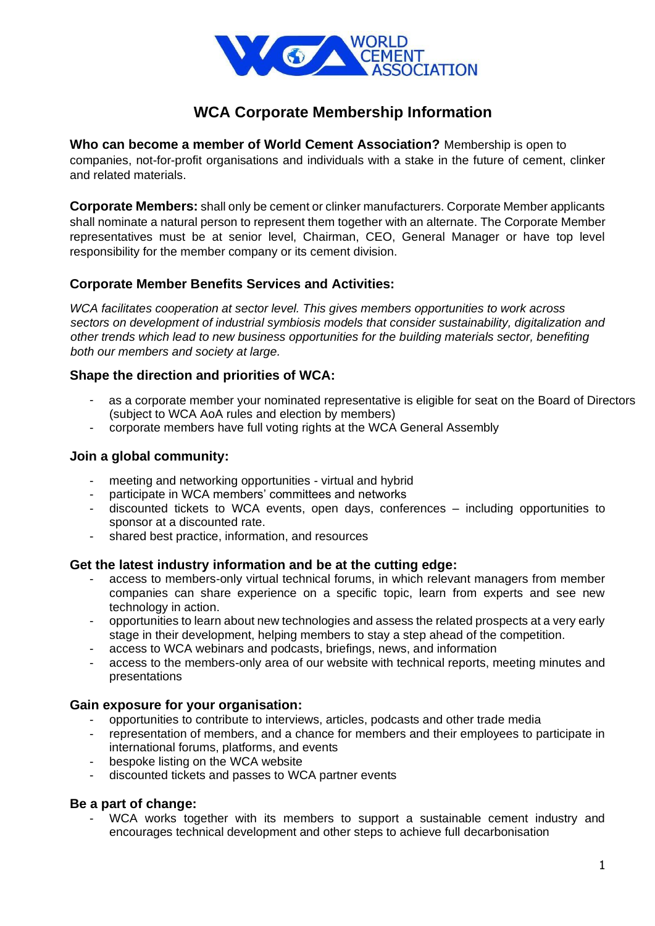

# **WCA Corporate Membership Information**

**Who can become a member of World Cement Association?** Membership is open to companies, not-for-profit organisations and individuals with a stake in the future of cement, clinker and related materials.

**Corporate Members:** shall only be cement or clinker manufacturers. Corporate Member applicants shall nominate a natural person to represent them together with an alternate. The Corporate Member representatives must be at senior level, Chairman, CEO, General Manager or have top level responsibility for the member company or its cement division.

### **Corporate Member Benefits Services and Activities:**

*WCA facilitates cooperation at sector level. This gives members opportunities to work across sectors on development of industrial symbiosis models that consider sustainability, digitalization and other trends which lead to new business opportunities for the building materials sector, benefiting both our members and society at large.*

## **Shape the direction and priorities of WCA:**

- (subject to WCA AoA rules and election by members) as a corporate member your nominated representative is eligible for seat on the Board of Directors
- corporate members have full voting rights at the WCA General Assembly

### **Join a global community:**

- meeting and networking opportunities virtual and hybrid
- participate in WCA members' committees and networks
- discounted tickets to WCA events, open days, conferences including opportunities to sponsor at a discounted rate.
- shared best practice, information, and resources

### **Get the latest industry information and be at the cutting edge:**

- access to members-only virtual technical forums, in which relevant managers from member companies can share experience on a specific topic, learn from experts and see new technology in action.
- opportunities to learn about new technologies and assess the related prospects at a very early stage in their development, helping members to stay a step ahead of the competition.
- access to WCA webinars and podcasts, briefings, news, and information
- access to the members-only area of our website with technical reports, meeting minutes and presentations

### **Gain exposure for your organisation:**

- opportunities to contribute to interviews, articles, podcasts and other trade media
- representation of members, and a chance for members and their employees to participate in international forums, platforms, and events
- bespoke listing on the WCA website
- discounted tickets and passes to WCA partner events

### **Be a part of change:**

WCA works together with its members to support a sustainable cement industry and encourages technical development and other steps to achieve full decarbonisation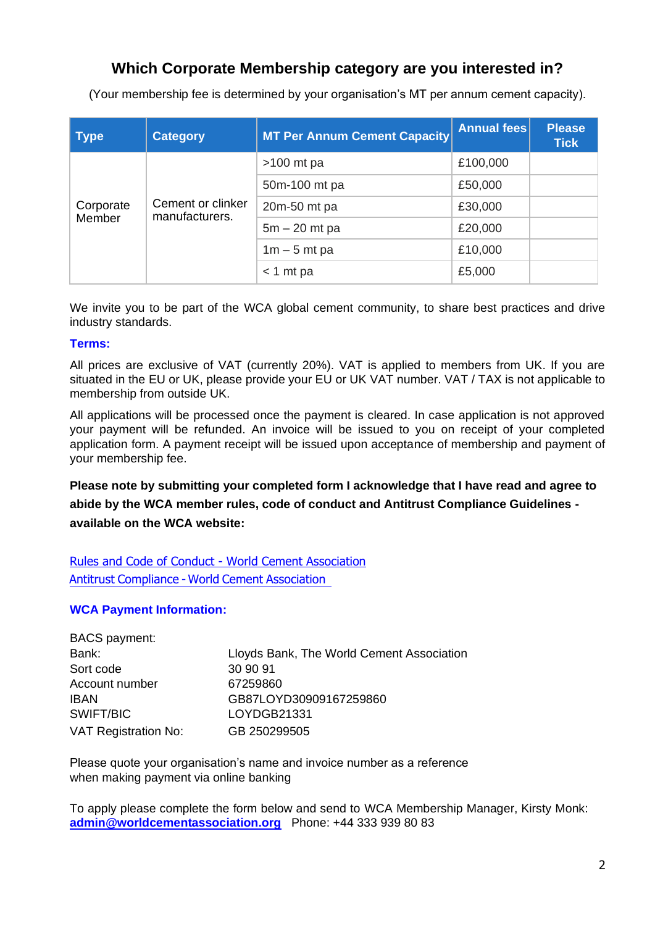# **Which Corporate Membership category are you interested in?**

(Your membership fee is determined by your organisation's MT per annum cement capacity).

| <b>Type</b>         | <b>Category</b>                     | MT Per Annum Cement Capacity | Annual fees | <b>Please</b><br><b>Tick</b> |
|---------------------|-------------------------------------|------------------------------|-------------|------------------------------|
| Corporate<br>Member | Cement or clinker<br>manufacturers. | $>100$ mt pa                 | £100,000    |                              |
|                     |                                     | 50m-100 mt pa                | £50,000     |                              |
|                     |                                     | 20m-50 mt pa                 | £30,000     |                              |
|                     |                                     | $5m - 20$ mt pa              | £20,000     |                              |
|                     |                                     | $1m - 5$ mt pa               | £10,000     |                              |
|                     |                                     | $<$ 1 mt pa                  | £5,000      |                              |

We invite you to be part of the WCA global cement community, to share best practices and drive industry standards.

#### **Terms:**

All prices are exclusive of VAT (currently 20%). VAT is applied to members from UK. If you are situated in the EU or UK, please provide your EU or UK VAT number. VAT / TAX is not applicable to membership from outside UK.

All applications will be processed once the payment is cleared. In case application is not approved your payment will be refunded. An invoice will be issued to you on receipt of your completed application form. A payment receipt will be issued upon acceptance of membership and payment of your membership fee.

**Please note by submitting your completed form I acknowledge that I have read and agree to abide by the WCA member rules, code of conduct and Antitrust Compliance Guidelines available on the WCA website:** 

[Rules and Code of Conduct -](https://worldcementassociation.org/rules-and-code-of-conduct) World Cement Association Antitrust [Compliance](https://worldcementassociation.org/antitrust-compliance) - World Cement Association

### **WCA Payment Information:**

| BACS payment:               |                                           |
|-----------------------------|-------------------------------------------|
| Bank:                       | Lloyds Bank, The World Cement Association |
| Sort code                   | 30 90 91                                  |
| Account number              | 67259860                                  |
| IBAN                        | GB87LOYD30909167259860                    |
| SWIFT/BIC                   | LOYDGB21331                               |
| <b>VAT Registration No:</b> | GB 250299505                              |

Please quote your organisation's name and invoice number as a reference when making payment via online banking

To apply please complete the form below and send to WCA Membership Manager, Kirsty Monk: **admin@worldcementassociation.org** Phone: +44 333 939 80 83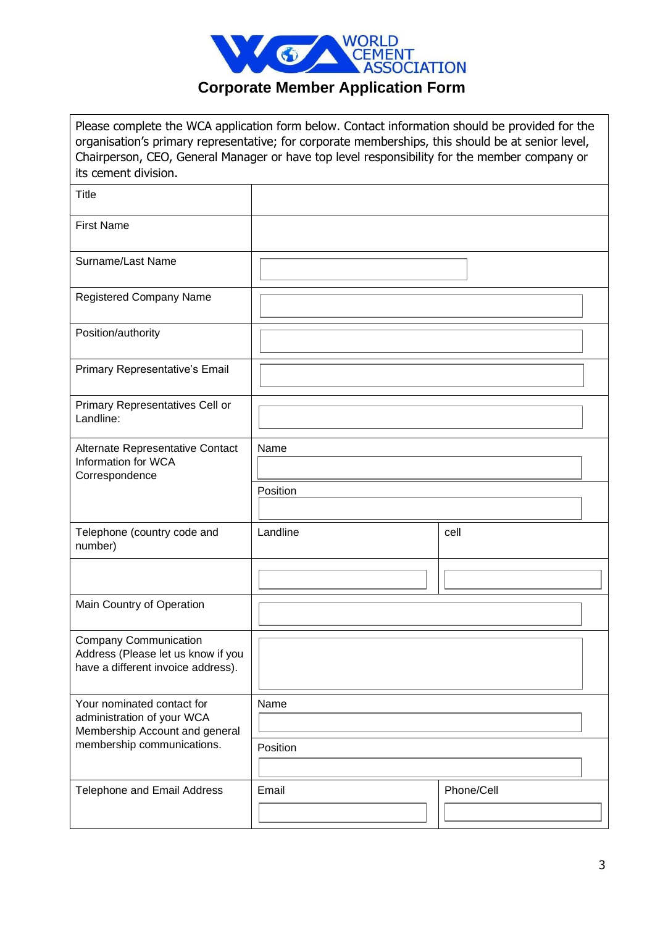

| its cement division.                                                                                     | Please complete the WCA application form below. Contact information should be provided for the<br>organisation's primary representative; for corporate memberships, this should be at senior level,<br>Chairperson, CEO, General Manager or have top level responsibility for the member company or |            |  |
|----------------------------------------------------------------------------------------------------------|-----------------------------------------------------------------------------------------------------------------------------------------------------------------------------------------------------------------------------------------------------------------------------------------------------|------------|--|
| <b>Title</b>                                                                                             |                                                                                                                                                                                                                                                                                                     |            |  |
| <b>First Name</b>                                                                                        |                                                                                                                                                                                                                                                                                                     |            |  |
| Surname/Last Name                                                                                        |                                                                                                                                                                                                                                                                                                     |            |  |
| Registered Company Name                                                                                  |                                                                                                                                                                                                                                                                                                     |            |  |
| Position/authority                                                                                       |                                                                                                                                                                                                                                                                                                     |            |  |
| Primary Representative's Email                                                                           |                                                                                                                                                                                                                                                                                                     |            |  |
| Primary Representatives Cell or<br>Landline:                                                             |                                                                                                                                                                                                                                                                                                     |            |  |
| Alternate Representative Contact<br>Information for WCA<br>Correspondence                                | Name                                                                                                                                                                                                                                                                                                |            |  |
|                                                                                                          | Position                                                                                                                                                                                                                                                                                            |            |  |
| Telephone (country code and<br>number)                                                                   | Landline                                                                                                                                                                                                                                                                                            | cell       |  |
|                                                                                                          |                                                                                                                                                                                                                                                                                                     |            |  |
| Main Country of Operation                                                                                |                                                                                                                                                                                                                                                                                                     |            |  |
| <b>Company Communication</b><br>Address (Please let us know if you<br>have a different invoice address). |                                                                                                                                                                                                                                                                                                     |            |  |
| Your nominated contact for<br>administration of your WCA<br>Membership Account and general               | Name                                                                                                                                                                                                                                                                                                |            |  |
| membership communications.                                                                               | Position                                                                                                                                                                                                                                                                                            |            |  |
| Telephone and Email Address                                                                              | Email                                                                                                                                                                                                                                                                                               | Phone/Cell |  |